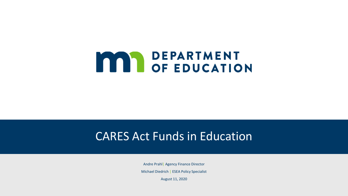# **MAN DEPARTMENT<br>OF EDUCATION**

#### CARES Act Funds in Education

Andre Prahl| Agency Finance Director

Michael Diedrich | ESEA Policy Specialist

August 11, 2020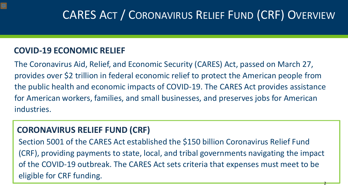## CARES ACT / CORONAVIRUS RELIEF FUND (CRF) OVERVIEW

#### **COVID-19 ECONOMIC RELIEF**

The Coronavirus Aid, Relief, and Economic Security (CARES) Act, passed on March 27, provides over \$2 trillion in federal economic relief to protect the American people from the public health and economic impacts of COVID-19. The CARES Act provides assistance for American workers, families, and small businesses, and preserves jobs for American industries.

#### **CORONAVIRUS RELIEF FUND (CRF)**

Section 5001 of the CARES Act established the \$150 billion Coronavirus Relief Fund (CRF), providing payments to state, local, and tribal governments navigating the impact of the COVID-19 outbreak. The CARES Act sets criteria that expenses must meet to be eligible for CRF funding.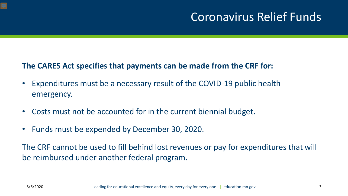## Coronavirus Relief Funds

#### **The CARES Act specifies that payments can be made from the CRF for:**

- Expenditures must be a necessary result of the COVID-19 public health emergency.
- Costs must not be accounted for in the current biennial budget.
- Funds must be expended by December 30, 2020.

The CRF cannot be used to fill behind lost revenues or pay for expenditures that will be reimbursed under another federal program.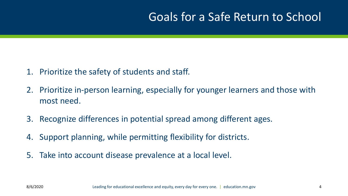## Goals for a Safe Return to School

- 1. Prioritize the safety of students and staff.
- 2. Prioritize in-person learning, especially for younger learners and those with most need.
- 3. Recognize differences in potential spread among different ages.
- 4. Support planning, while permitting flexibility for districts.
- 5. Take into account disease prevalence at a local level.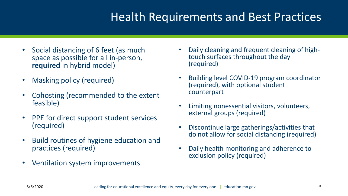## Health Requirements and Best Practices

- Social distancing of 6 feet (as much space as possible for all in-person, **required** in hybrid model)
- Masking policy (required)
- Cohosting (recommended to the extent feasible)
- PPE for direct support student services (required)
- Build routines of hygiene education and practices (required)
- Ventilation system improvements
- Daily cleaning and frequent cleaning of high- touch surfaces throughout the day (required)
- Building level COVID-19 program coordinator (required), with optional student counterpart
- Limiting nonessential visitors, volunteers, external groups (required)
- Discontinue large gatherings/activities that do not allow for social distancing (required)
- Daily health monitoring and adherence to exclusion policy (required)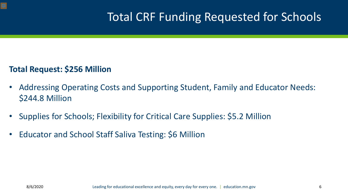## Total CRF Funding Requested for Schools

#### **Total Request: \$256 Million**

- Addressing Operating Costs and Supporting Student, Family and Educator Needs: \$244.8 Million
- Supplies for Schools; Flexibility for Critical Care Supplies: \$5.2 Million
- Educator and School Staff Saliva Testing: \$6 Million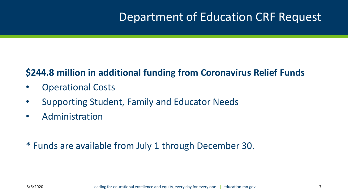## Department of Education CRF Request

#### **\$244.8 million in additional funding from Coronavirus Relief Funds**

- Operational Costs
- Supporting Student, Family and Educator Needs
- Administration
- \* Funds are available from July 1 through December 30.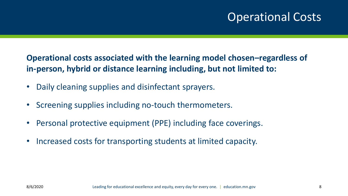## Operational Costs

**Operational costs associated with the learning model chosen–regardless of in-person, hybrid or distance learning including, but not limited to:**

- Daily cleaning supplies and disinfectant sprayers.
- Screening supplies including no-touch thermometers.
- Personal protective equipment (PPE) including face coverings.
- Increased costs for transporting students at limited capacity.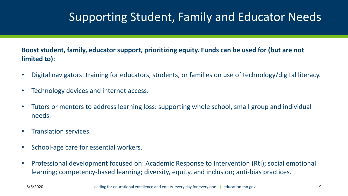## Supporting Student, Family and Educator Needs

**Boost student, family, educator support, prioritizing equity. Funds can be used for (but are not limited to):**

- Digital navigators: training for educators, students, or families on use of technology/digital literacy.
- Technology devices and internet access.
- Tutors or mentors to address learning loss: supporting whole school, small group and individual needs.
- Translation services.
- School-age care for essential workers.
- Professional development focused on: Academic Response to Intervention (RtI); social emotional learning; competency-based learning; diversity, equity, and inclusion; anti-bias practices.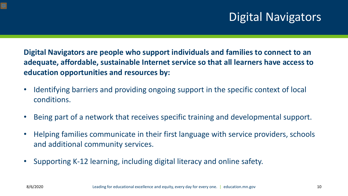## Digital Navigators

**Digital Navigators are people who support individuals and families to connect to an adequate, affordable, sustainable Internet service so that all learners have access to education opportunities and resources by:**

- Identifying barriers and providing ongoing support in the specific context of local conditions.
- Being part of a network that receives specific training and developmental support.
- Helping families communicate in their first language with service providers, schools and additional community services.
- Supporting K-12 learning, including digital literacy and online safety.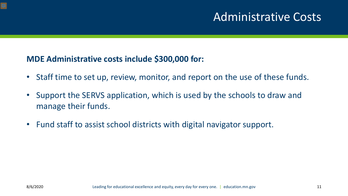#### Administrative Costs

#### **MDE Administrative costs include \$300,000 for:**

- Staff time to set up, review, monitor, and report on the use of these funds.
- Support the SERVS application, which is used by the schools to draw and manage their funds.
- Fund staff to assist school districts with digital navigator support.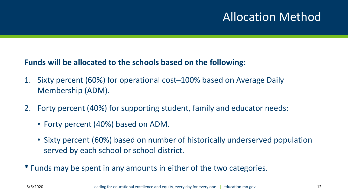## Allocation Method

#### **Funds will be allocated to the schools based on the following:**

- 1. Sixty percent (60%) for operational cost–100% based on Average Daily Membership (ADM).
- 2. Forty percent (40%) for supporting student, family and educator needs:
	- Forty percent (40%) based on ADM.
	- Sixty percent (60%) based on number of historically underserved population served by each school or school district.
- **\*** Funds may be spent in any amounts in either of the two categories.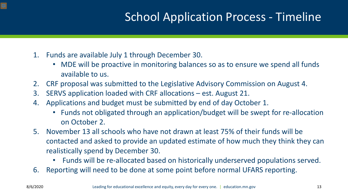## School Application Process - Timeline

- 1. Funds are available July 1 through December 30.
	- MDE will be proactive in monitoring balances so as to ensure we spend all funds available to us.
- 2. CRF proposal was submitted to the Legislative Advisory Commission on August 4.
- 3. SERVS application loaded with CRF allocations est. August 21.
- 4. Applications and budget must be submitted by end of day October 1.
	- Funds not obligated through an application/budget will be swept for re-allocation on October 2.
- 5. November 13 all schools who have not drawn at least 75% of their funds will be contacted and asked to provide an updated estimate of how much they think they can realistically spend by December 30.
	- Funds will be re-allocated based on historically underserved populations served.
- 6. Reporting will need to be done at some point before normal UFARS reporting.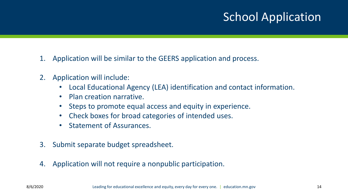## School Application

- 1. Application will be similar to the GEERS application and process.
- 2. Application will include:
	- Local Educational Agency (LEA) identification and contact information.
	- Plan creation narrative.
	- Steps to promote equal access and equity in experience.
	- Check boxes for broad categories of intended uses.
	- Statement of Assurances.
- 3. Submit separate budget spreadsheet.
- 4. Application will not require a nonpublic participation.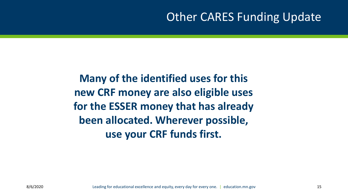## Other CARES Funding Update

**Many of the identified uses for this new CRF money are also eligible uses for the ESSER money that has already been allocated. Wherever possible, use your CRF funds first.**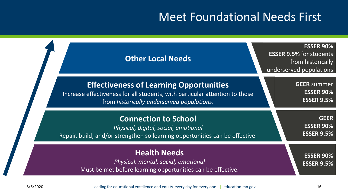#### Meet Foundational Needs First

| <b>Other Local Needs</b>                                                                                                                                                    | <b>ESSER 90%</b><br><b>ESSER 9.5% for students</b><br>from historically<br>underserved populations |
|-----------------------------------------------------------------------------------------------------------------------------------------------------------------------------|----------------------------------------------------------------------------------------------------|
| <b>Effectiveness of Learning Opportunities</b><br>Increase effectiveness for all students, with particular attention to those<br>from historically underserved populations. | <b>GEER</b> summer<br><b>ESSER 90%</b><br><b>ESSER 9.5%</b>                                        |
| <b>Connection to School</b><br>Physical, digital, social, emotional<br>Repair, build, and/or strengthen so learning opportunities can be effective.                         | <b>GEER</b><br><b>ESSER 90%</b><br><b>ESSER 9.5%</b>                                               |
| <b>Health Needs</b><br>Physical, mental, social, emotional<br>Must be met before learning opportunities can be effective.                                                   | <b>ESSER 90%</b><br><b>ESSER 9.5%</b>                                                              |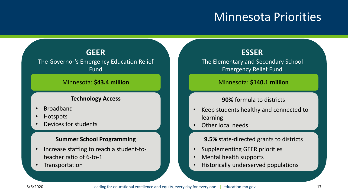#### Minnesota Priorities

#### **GEER**

The Governor's Emergency Education Relief Fund

#### Minnesota: **\$43.4 million** Minnesota: **\$140.1 million**

#### **Technology Access**

- **Broadband**
- Hotspots
- Devices for students

#### **Summer School Programming**

- Increase staffing to reach a student-toteacher ratio of 6-to-1
- **Transportation**

#### **ESSER**

The Elementary and Secondary School Emergency Relief Fund

#### **90%** formula to districts

- Keep students healthy and connected to learning
- Other local needs

**9.5%** state-directed grants to districts

- Supplementing GEER priorities
- Mental health supports
- Historically underserved populations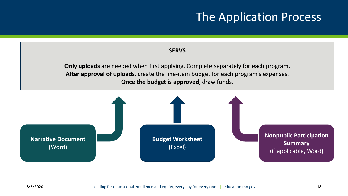### The Application Process

#### **SERVS**

**Only uploads** are needed when first applying. Complete separately for each program. **After approval of uploads**, create the line-item budget for each program's expenses. **Once the budget is approved**, draw funds.

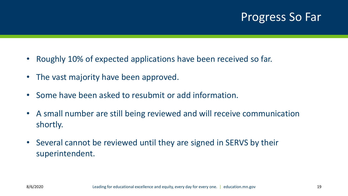### Progress So Far

- Roughly 10% of expected applications have been received so far.
- The vast majority have been approved.
- Some have been asked to resubmit or add information.
- A small number are still being reviewed and will receive communication shortly.
- Several cannot be reviewed until they are signed in SERVS by their superintendent.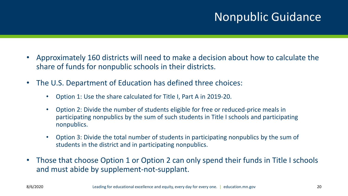## Nonpublic Guidance

- Approximately 160 districts will need to make a decision about how to calculate the share of funds for nonpublic schools in their districts.
- The U.S. Department of Education has defined three choices:
	- Option 1: Use the share calculated for Title I, Part A in 2019-20.
	- Option 2: Divide the number of students eligible for free or reduced-price meals in participating nonpublics by the sum of such students in Title I schools and participating nonpublics.
	- Option 3: Divide the total number of students in participating nonpublics by the sum of students in the district and in participating nonpublics.
- Those that choose Option 1 or Option 2 can only spend their funds in Title I schools and must abide by supplement-not-supplant.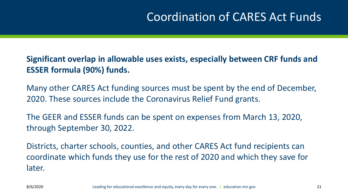## Coordination of CARES Act Funds

#### **Significant overlap in allowable uses exists, especially between CRF funds and ESSER formula (90%) funds.**

Many other CARES Act funding sources must be spent by the end of December, 2020. These sources include the Coronavirus Relief Fund grants.

The GEER and ESSER funds can be spent on expenses from March 13, 2020, through September 30, 2022.

Districts, charter schools, counties, and other CARES Act fund recipients can coordinate which funds they use for the rest of 2020 and which they save for later.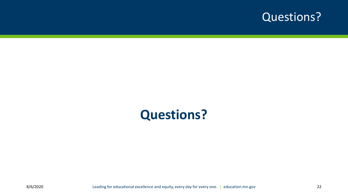

## **Questions?**

8/6/2020 **Leading for educational excellence and equity, every day for every one.** | education.mn.gov 22